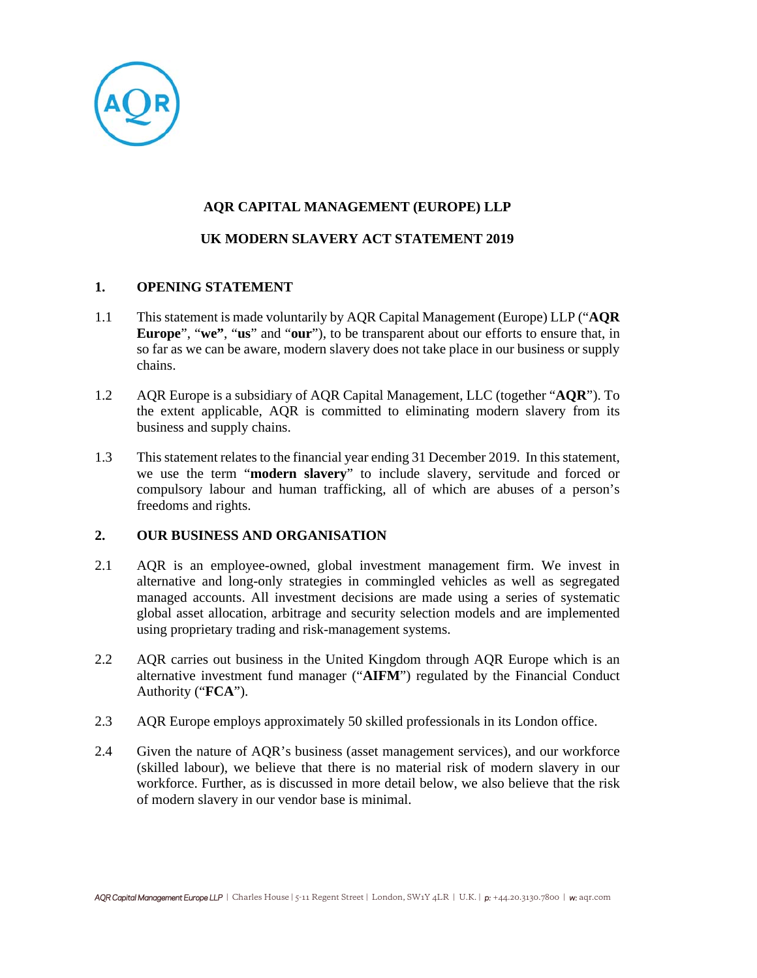

# **AQR CAPITAL MANAGEMENT (EUROPE) LLP**

# **UK MODERN SLAVERY ACT STATEMENT 2019**

# **1. OPENING STATEMENT**

- 1.1 This statement is made voluntarily by AQR Capital Management (Europe) LLP ("**AQR Europe**", "**we"**, "**us**" and "**our**"), to be transparent about our efforts to ensure that, in so far as we can be aware, modern slavery does not take place in our business or supply chains.
- 1.2 AQR Europe is a subsidiary of AQR Capital Management, LLC (together "**AQR**"). To the extent applicable, AQR is committed to eliminating modern slavery from its business and supply chains.
- 1.3 This statement relates to the financial year ending 31 December 2019. In this statement, we use the term "**modern slavery**" to include slavery, servitude and forced or compulsory labour and human trafficking, all of which are abuses of a person's freedoms and rights.

#### **2. OUR BUSINESS AND ORGANISATION**

- 2.1 AQR is an employee-owned, global investment management firm. We invest in alternative and long-only strategies in commingled vehicles as well as segregated managed accounts. All investment decisions are made using a series of systematic global asset allocation, arbitrage and security selection models and are implemented using proprietary trading and risk-management systems.
- 2.2 AQR carries out business in the United Kingdom through AQR Europe which is an alternative investment fund manager ("**AIFM**") regulated by the Financial Conduct Authority ("**FCA**").
- 2.3 AQR Europe employs approximately 50 skilled professionals in its London office.
- 2.4 Given the nature of AQR's business (asset management services), and our workforce (skilled labour), we believe that there is no material risk of modern slavery in our workforce. Further, as is discussed in more detail below, we also believe that the risk of modern slavery in our vendor base is minimal.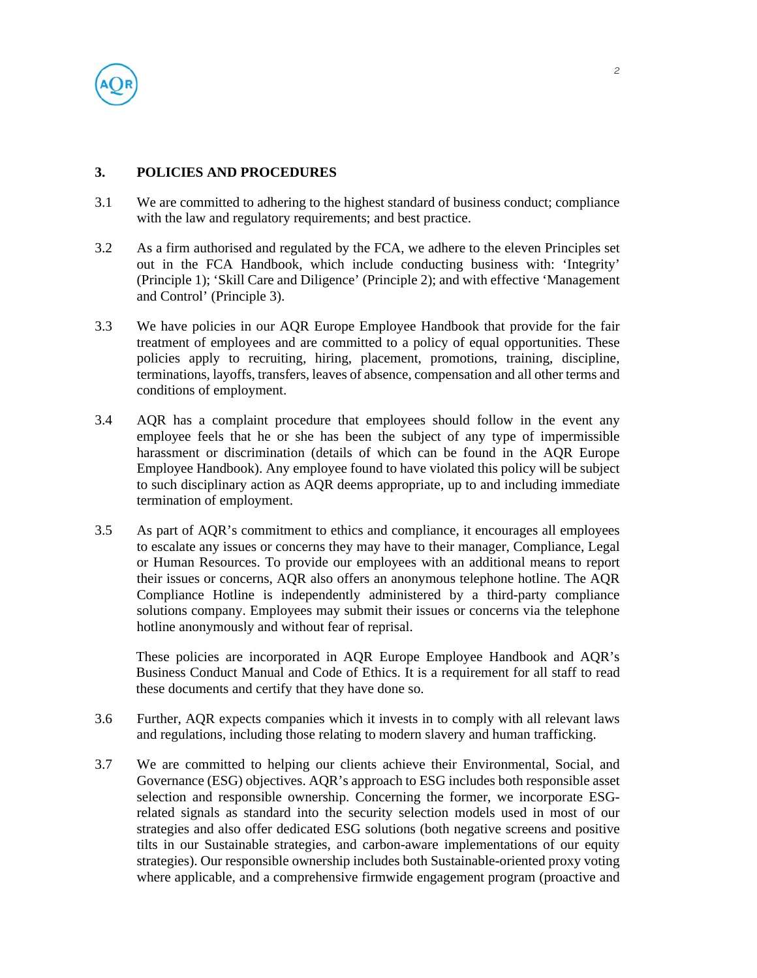

## **3. POLICIES AND PROCEDURES**

- 3.1 We are committed to adhering to the highest standard of business conduct; compliance with the law and regulatory requirements; and best practice.
- 3.2 As a firm authorised and regulated by the FCA, we adhere to the eleven Principles set out in the FCA Handbook, which include conducting business with: 'Integrity' (Principle 1); 'Skill Care and Diligence' (Principle 2); and with effective 'Management and Control' (Principle 3).
- 3.3 We have policies in our AQR Europe Employee Handbook that provide for the fair treatment of employees and are committed to a policy of equal opportunities. These policies apply to recruiting, hiring, placement, promotions, training, discipline, terminations, layoffs, transfers, leaves of absence, compensation and all other terms and conditions of employment.
- 3.4 AQR has a complaint procedure that employees should follow in the event any employee feels that he or she has been the subject of any type of impermissible harassment or discrimination (details of which can be found in the AQR Europe Employee Handbook). Any employee found to have violated this policy will be subject to such disciplinary action as AQR deems appropriate, up to and including immediate termination of employment.
- 3.5 As part of AQR's commitment to ethics and compliance, it encourages all employees to escalate any issues or concerns they may have to their manager, Compliance, Legal or Human Resources. To provide our employees with an additional means to report their issues or concerns, AQR also offers an anonymous telephone hotline. The AQR Compliance Hotline is independently administered by a third-party compliance solutions company. Employees may submit their issues or concerns via the telephone hotline anonymously and without fear of reprisal.

These policies are incorporated in AQR Europe Employee Handbook and AQR's Business Conduct Manual and Code of Ethics. It is a requirement for all staff to read these documents and certify that they have done so.

- 3.6 Further, AQR expects companies which it invests in to comply with all relevant laws and regulations, including those relating to modern slavery and human trafficking.
- 3.7 We are committed to helping our clients achieve their Environmental, Social, and Governance (ESG) objectives. AQR's approach to ESG includes both responsible asset selection and responsible ownership. Concerning the former, we incorporate ESGrelated signals as standard into the security selection models used in most of our strategies and also offer dedicated ESG solutions (both negative screens and positive tilts in our Sustainable strategies, and carbon-aware implementations of our equity strategies). Our responsible ownership includes both Sustainable-oriented proxy voting where applicable, and a comprehensive firmwide engagement program (proactive and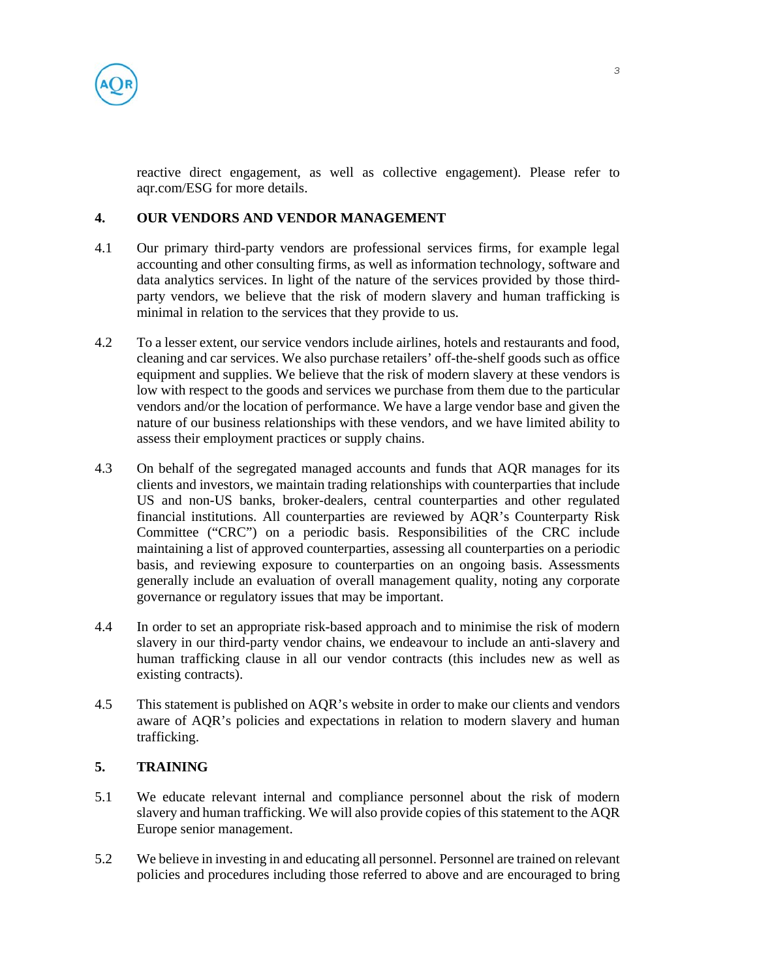

reactive direct engagement, as well as collective engagement). Please refer to aqr.com/ESG for more details.

# **4. OUR VENDORS AND VENDOR MANAGEMENT**

- 4.1 Our primary third-party vendors are professional services firms, for example legal accounting and other consulting firms, as well as information technology, software and data analytics services. In light of the nature of the services provided by those thirdparty vendors, we believe that the risk of modern slavery and human trafficking is minimal in relation to the services that they provide to us.
- 4.2 To a lesser extent, our service vendors include airlines, hotels and restaurants and food, cleaning and car services. We also purchase retailers' off-the-shelf goods such as office equipment and supplies. We believe that the risk of modern slavery at these vendors is low with respect to the goods and services we purchase from them due to the particular vendors and/or the location of performance. We have a large vendor base and given the nature of our business relationships with these vendors, and we have limited ability to assess their employment practices or supply chains.
- 4.3 On behalf of the segregated managed accounts and funds that AQR manages for its clients and investors, we maintain trading relationships with counterparties that include US and non-US banks, broker-dealers, central counterparties and other regulated financial institutions. All counterparties are reviewed by AQR's Counterparty Risk Committee ("CRC") on a periodic basis. Responsibilities of the CRC include maintaining a list of approved counterparties, assessing all counterparties on a periodic basis, and reviewing exposure to counterparties on an ongoing basis. Assessments generally include an evaluation of overall management quality, noting any corporate governance or regulatory issues that may be important.
- 4.4 In order to set an appropriate risk-based approach and to minimise the risk of modern slavery in our third-party vendor chains, we endeavour to include an anti-slavery and human trafficking clause in all our vendor contracts (this includes new as well as existing contracts).
- 4.5 This statement is published on AQR's website in order to make our clients and vendors aware of AQR's policies and expectations in relation to modern slavery and human trafficking.

# **5. TRAINING**

- 5.1 We educate relevant internal and compliance personnel about the risk of modern slavery and human trafficking. We will also provide copies of this statement to the AQR Europe senior management.
- 5.2 We believe in investing in and educating all personnel. Personnel are trained on relevant policies and procedures including those referred to above and are encouraged to bring